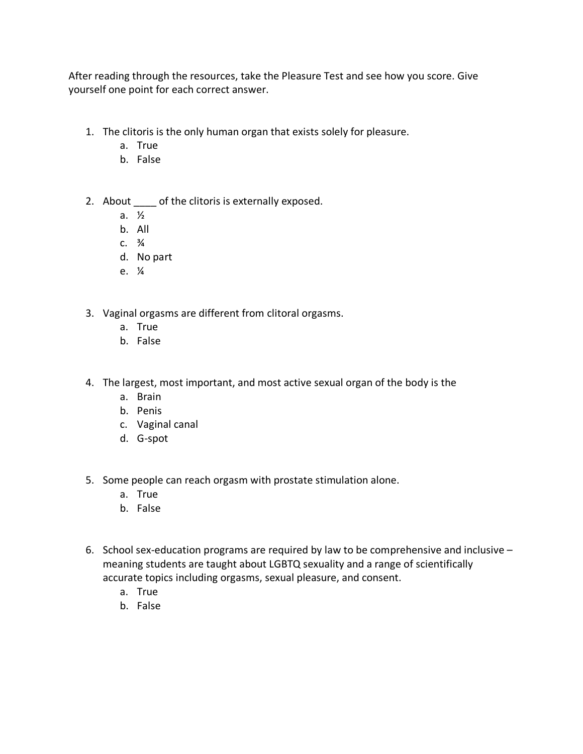After reading through the resources, take the Pleasure Test and see how you score. Give yourself one point for each correct answer.

- 1. The clitoris is the only human organ that exists solely for pleasure.
	- a. True
	- b. False
- 2. About \_\_\_\_\_ of the clitoris is externally exposed.
	- a. ½
	- b. All
	- $C. \frac{3}{4}$
	- d. No part
	- e. ¼
- 3. Vaginal orgasms are different from clitoral orgasms.
	- a. True
	- b. False
- 4. The largest, most important, and most active sexual organ of the body is the
	- a. Brain
	- b. Penis
	- c. Vaginal canal
	- d. G-spot
- 5. Some people can reach orgasm with prostate stimulation alone.
	- a. True
	- b. False
- 6. School sex-education programs are required by law to be comprehensive and inclusive meaning students are taught about LGBTQ sexuality and a range of scientifically accurate topics including orgasms, sexual pleasure, and consent.
	- a. True
	- b. False